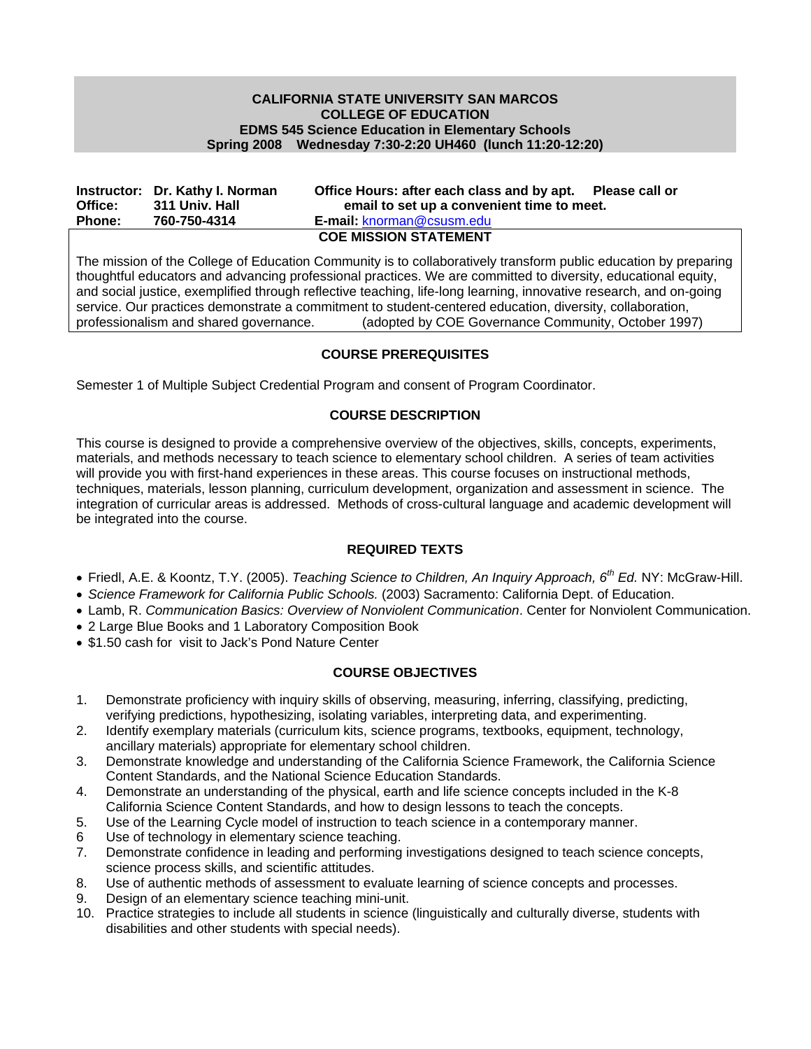## **CALIFORNIA STATE UNIVERSITY SAN MARCOS COLLEGE OF EDUCATION EDMS 545 Science Education in Elementary Schools Spring 2008 Wednesday 7:30-2:20 UH460 (lunch 11:20-12:20)**

|                              | Instructor: Dr. Kathy I. Norman | Office Hours: after each class and by apt. Please call or |  |  |  |
|------------------------------|---------------------------------|-----------------------------------------------------------|--|--|--|
| Office:                      | 311 Univ. Hall                  | email to set up a convenient time to meet.                |  |  |  |
| <b>Phone:</b>                | 760-750-4314                    | <b>E-mail: knorman@csusm.edu</b>                          |  |  |  |
| <b>COE MISSION STATEMENT</b> |                                 |                                                           |  |  |  |

The mission of the College of Education Community is to collaboratively transform public education by preparing thoughtful educators and advancing professional practices. We are committed to diversity, educational equity, and social justice, exemplified through reflective teaching, life-long learning, innovative research, and on-going service. Our practices demonstrate a commitment to student-centered education, diversity, collaboration, professionalism and shared governance. (adopted by COE Governance Community, October 1997)

## **COURSE PREREQUISITES**

Semester 1 of Multiple Subject Credential Program and consent of Program Coordinator.

# **COURSE DESCRIPTION**

This course is designed to provide a comprehensive overview of the objectives, skills, concepts, experiments, materials, and methods necessary to teach science to elementary school children. A series of team activities will provide you with first-hand experiences in these areas. This course focuses on instructional methods, techniques, materials, lesson planning, curriculum development, organization and assessment in science. The integration of curricular areas is addressed. Methods of cross-cultural language and academic development will be integrated into the course.

# **REQUIRED TEXTS**

- Friedl, A.E. & Koontz, T.Y. (2005). *Teaching Science to Children, An Inquiry Approach, 6th Ed.* NY: McGraw-Hill.
- *Science Framework for California Public Schools.* (2003) Sacramento: California Dept. of Education.
- Lamb, R. *Communication Basics: Overview of Nonviolent Communication*. Center for Nonviolent Communication.
- 2 Large Blue Books and 1 Laboratory Composition Book
- \$1.50 cash for visit to Jack's Pond Nature Center

# **COURSE OBJECTIVES**

- 1. Demonstrate proficiency with inquiry skills of observing, measuring, inferring, classifying, predicting, verifying predictions, hypothesizing, isolating variables, interpreting data, and experimenting.
- 2. Identify exemplary materials (curriculum kits, science programs, textbooks, equipment, technology, ancillary materials) appropriate for elementary school children.
- 3. Demonstrate knowledge and understanding of the California Science Framework, the California Science Content Standards, and the National Science Education Standards.
- 4. Demonstrate an understanding of the physical, earth and life science concepts included in the K-8 California Science Content Standards, and how to design lessons to teach the concepts.
- 5. Use of the Learning Cycle model of instruction to teach science in a contemporary manner.
- 6 Use of technology in elementary science teaching.
- 7. Demonstrate confidence in leading and performing investigations designed to teach science concepts, science process skills, and scientific attitudes.
- 8. Use of authentic methods of assessment to evaluate learning of science concepts and processes.
- 9. Design of an elementary science teaching mini-unit.
- 10. Practice strategies to include all students in science (linguistically and culturally diverse, students with disabilities and other students with special needs).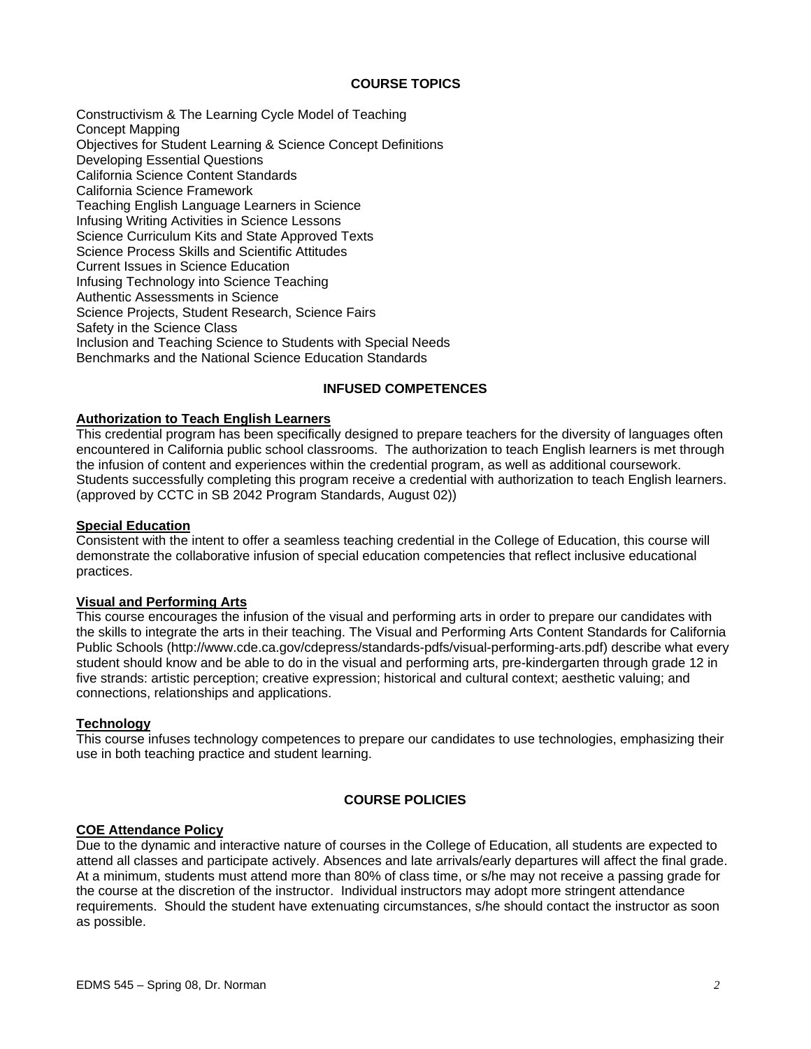## **COURSE TOPICS**

Constructivism & The Learning Cycle Model of Teaching Concept Mapping Objectives for Student Learning & Science Concept Definitions Developing Essential Questions California Science Content Standards California Science Framework Teaching English Language Learners in Science Infusing Writing Activities in Science Lessons Science Curriculum Kits and State Approved Texts Science Process Skills and Scientific Attitudes Current Issues in Science Education Infusing Technology into Science Teaching Authentic Assessments in Science Science Projects, Student Research, Science Fairs Safety in the Science Class Inclusion and Teaching Science to Students with Special Needs Benchmarks and the National Science Education Standards

## **INFUSED COMPETENCES**

## **Authorization to Teach English Learners**

This credential program has been specifically designed to prepare teachers for the diversity of languages often encountered in California public school classrooms. The authorization to teach English learners is met through the infusion of content and experiences within the credential program, as well as additional coursework. Students successfully completing this program receive a credential with authorization to teach English learners. (approved by CCTC in SB 2042 Program Standards, August 02))

#### **Special Education**

Consistent with the intent to offer a seamless teaching credential in the College of Education, this course will demonstrate the collaborative infusion of special education competencies that reflect inclusive educational practices.

## **Visual and Performing Arts**

This course encourages the infusion of the visual and performing arts in order to prepare our candidates with the skills to integrate the arts in their teaching. The Visual and Performing Arts Content Standards for California Public Schools (http://www.cde.ca.gov/cdepress/standards-pdfs/visual-performing-arts.pdf) describe what every student should know and be able to do in the visual and performing arts, pre-kindergarten through grade 12 in five strands: artistic perception; creative expression; historical and cultural context; aesthetic valuing; and connections, relationships and applications.

#### **Technology**

This course infuses technology competences to prepare our candidates to use technologies, emphasizing their use in both teaching practice and student learning.

#### **COURSE POLICIES**

#### **COE Attendance Policy**

Due to the dynamic and interactive nature of courses in the College of Education, all students are expected to attend all classes and participate actively. Absences and late arrivals/early departures will affect the final grade. At a minimum, students must attend more than 80% of class time, or s/he may not receive a passing grade for the course at the discretion of the instructor. Individual instructors may adopt more stringent attendance requirements. Should the student have extenuating circumstances, s/he should contact the instructor as soon as possible.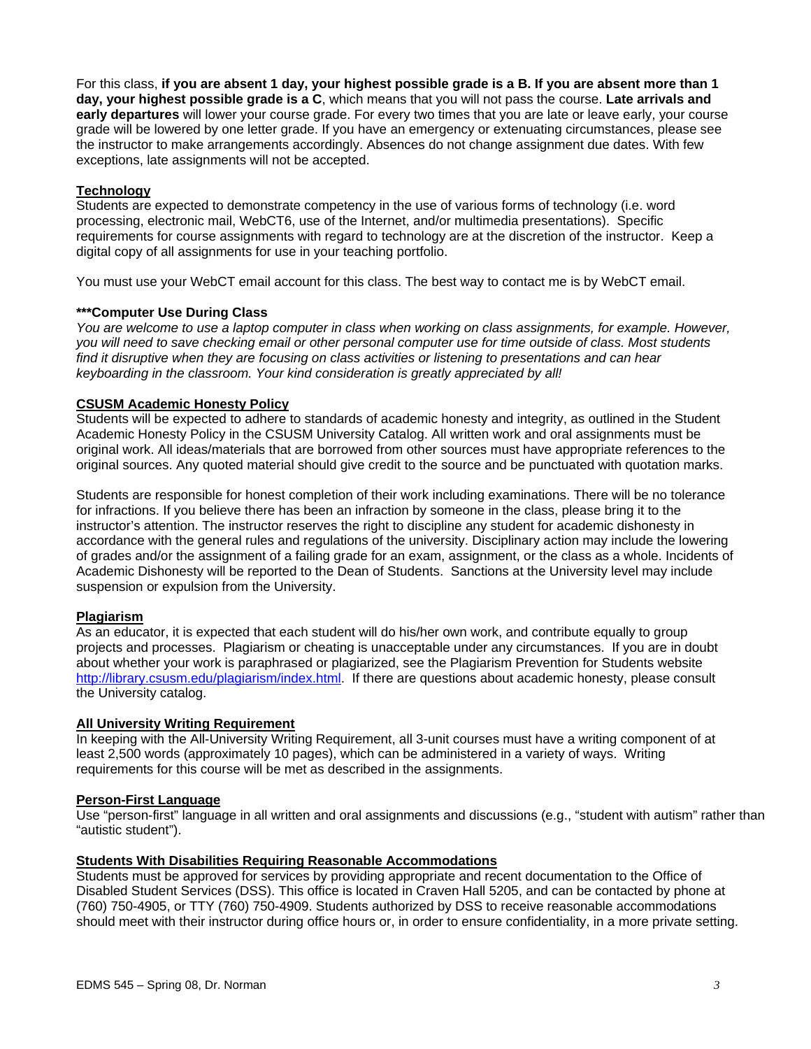For this class, **if you are absent 1 day, your highest possible grade is a B. If you are absent more than 1 day, your highest possible grade is a C**, which means that you will not pass the course. **Late arrivals and early departures** will lower your course grade. For every two times that you are late or leave early, your course grade will be lowered by one letter grade. If you have an emergency or extenuating circumstances, please see the instructor to make arrangements accordingly. Absences do not change assignment due dates. With few exceptions, late assignments will not be accepted.

## **Technology**

Students are expected to demonstrate competency in the use of various forms of technology (i.e. word processing, electronic mail, WebCT6, use of the Internet, and/or multimedia presentations). Specific requirements for course assignments with regard to technology are at the discretion of the instructor. Keep a digital copy of all assignments for use in your teaching portfolio.

You must use your WebCT email account for this class. The best way to contact me is by WebCT email.

## **\*\*\*Computer Use During Class**

*You are welcome to use a laptop computer in class when working on class assignments, for example. However, you will need to save checking email or other personal computer use for time outside of class. Most students find it disruptive when they are focusing on class activities or listening to presentations and can hear keyboarding in the classroom. Your kind consideration is greatly appreciated by all!* 

## **CSUSM Academic Honesty Policy**

Students will be expected to adhere to standards of academic honesty and integrity, as outlined in the Student Academic Honesty Policy in the CSUSM University Catalog. All written work and oral assignments must be original work. All ideas/materials that are borrowed from other sources must have appropriate references to the original sources. Any quoted material should give credit to the source and be punctuated with quotation marks.

Students are responsible for honest completion of their work including examinations. There will be no tolerance for infractions. If you believe there has been an infraction by someone in the class, please bring it to the instructor's attention. The instructor reserves the right to discipline any student for academic dishonesty in accordance with the general rules and regulations of the university. Disciplinary action may include the lowering of grades and/or the assignment of a failing grade for an exam, assignment, or the class as a whole. Incidents of Academic Dishonesty will be reported to the Dean of Students. Sanctions at the University level may include suspension or expulsion from the University.

### **Plagiarism**

As an educator, it is expected that each student will do his/her own work, and contribute equally to group projects and processes. Plagiarism or cheating is unacceptable under any circumstances. If you are in doubt about whether your work is paraphrased or plagiarized, see the Plagiarism Prevention for Students website http://library.csusm.edu/plagiarism/index.html. If there are questions about academic honesty, please consult the University catalog.

### **All University Writing Requirement**

In keeping with the All-University Writing Requirement, all 3-unit courses must have a writing component of at least 2,500 words (approximately 10 pages), which can be administered in a variety of ways. Writing requirements for this course will be met as described in the assignments.

### **Person-First Language**

Use "person-first" language in all written and oral assignments and discussions (e.g., "student with autism" rather than "autistic student").

## **Students With Disabilities Requiring Reasonable Accommodations**

Students must be approved for services by providing appropriate and recent documentation to the Office of Disabled Student Services (DSS). This office is located in Craven Hall 5205, and can be contacted by phone at (760) 750-4905, or TTY (760) 750-4909. Students authorized by DSS to receive reasonable accommodations should meet with their instructor during office hours or, in order to ensure confidentiality, in a more private setting.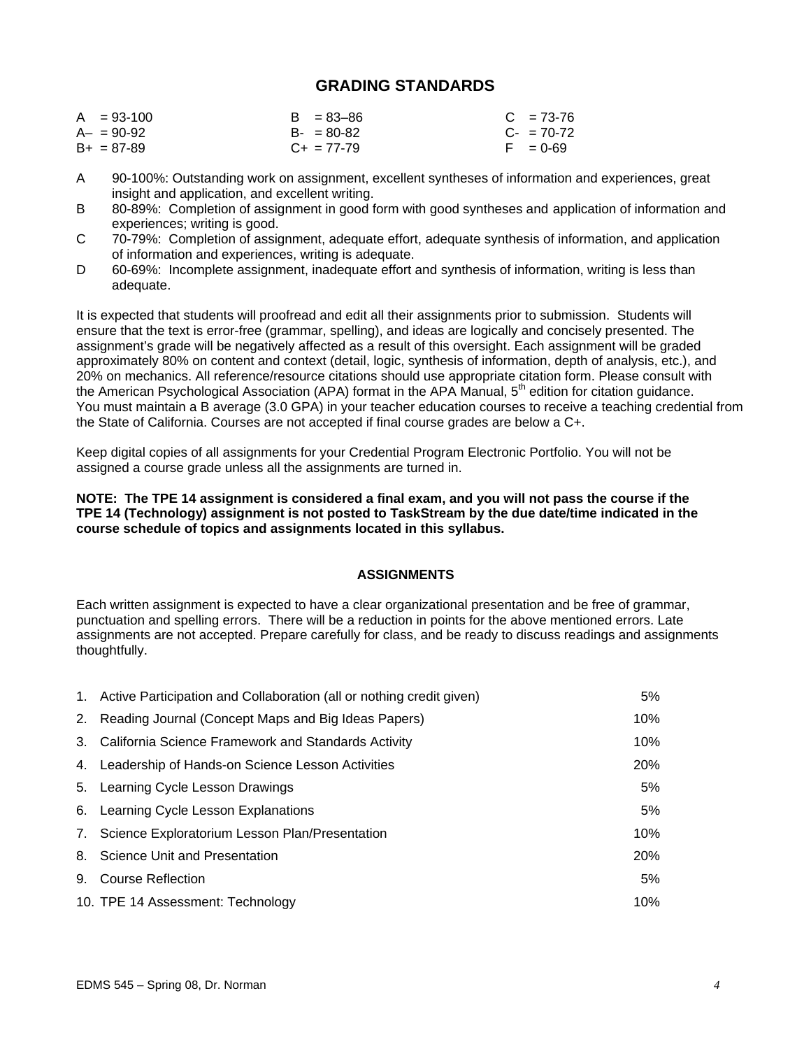# **GRADING STANDARDS**

| $A = 93-100$    | $B = 83 - 86$   | $C = 73-76$ |
|-----------------|-----------------|-------------|
| $A - = 90 - 92$ | $B - 80 - 82$   | $C - 70-72$ |
| $B+ = 87-89$    | $C_{+}$ = 77-79 | $F = 0.69$  |

- A 90-100%: Outstanding work on assignment, excellent syntheses of information and experiences, great insight and application, and excellent writing.
- B 80-89%: Completion of assignment in good form with good syntheses and application of information and experiences; writing is good.
- C 70-79%: Completion of assignment, adequate effort, adequate synthesis of information, and application of information and experiences, writing is adequate.
- D 60-69%: Incomplete assignment, inadequate effort and synthesis of information, writing is less than adequate.

It is expected that students will proofread and edit all their assignments prior to submission. Students will ensure that the text is error-free (grammar, spelling), and ideas are logically and concisely presented. The assignment's grade will be negatively affected as a result of this oversight. Each assignment will be graded approximately 80% on content and context (detail, logic, synthesis of information, depth of analysis, etc.), and 20% on mechanics. All reference/resource citations should use appropriate citation form. Please consult with the American Psychological Association (APA) format in the APA Manual, 5<sup>th</sup> edition for citation guidance. You must maintain a B average (3.0 GPA) in your teacher education courses to receive a teaching credential from the State of California. Courses are not accepted if final course grades are below a C+.

Keep digital copies of all assignments for your Credential Program Electronic Portfolio. You will not be assigned a course grade unless all the assignments are turned in.

### **NOTE: The TPE 14 assignment is considered a final exam, and you will not pass the course if the TPE 14 (Technology) assignment is not posted to TaskStream by the due date/time indicated in the course schedule of topics and assignments located in this syllabus.**

## **ASSIGNMENTS**

Each written assignment is expected to have a clear organizational presentation and be free of grammar, punctuation and spelling errors. There will be a reduction in points for the above mentioned errors. Late assignments are not accepted. Prepare carefully for class, and be ready to discuss readings and assignments thoughtfully.

| 1. Active Participation and Collaboration (all or nothing credit given) | 5%     |
|-------------------------------------------------------------------------|--------|
| 2. Reading Journal (Concept Maps and Big Ideas Papers)                  | 10%    |
| 3. California Science Framework and Standards Activity                  | 10%    |
| 4. Leadership of Hands-on Science Lesson Activities                     | 20%    |
| 5. Learning Cycle Lesson Drawings                                       | 5%     |
| 6. Learning Cycle Lesson Explanations                                   | 5%     |
| 7. Science Exploratorium Lesson Plan/Presentation                       | 10%    |
| 8. Science Unit and Presentation                                        | 20%    |
| 9. Course Reflection                                                    | 5%     |
| 10. TPE 14 Assessment: Technology                                       | $10\%$ |
|                                                                         |        |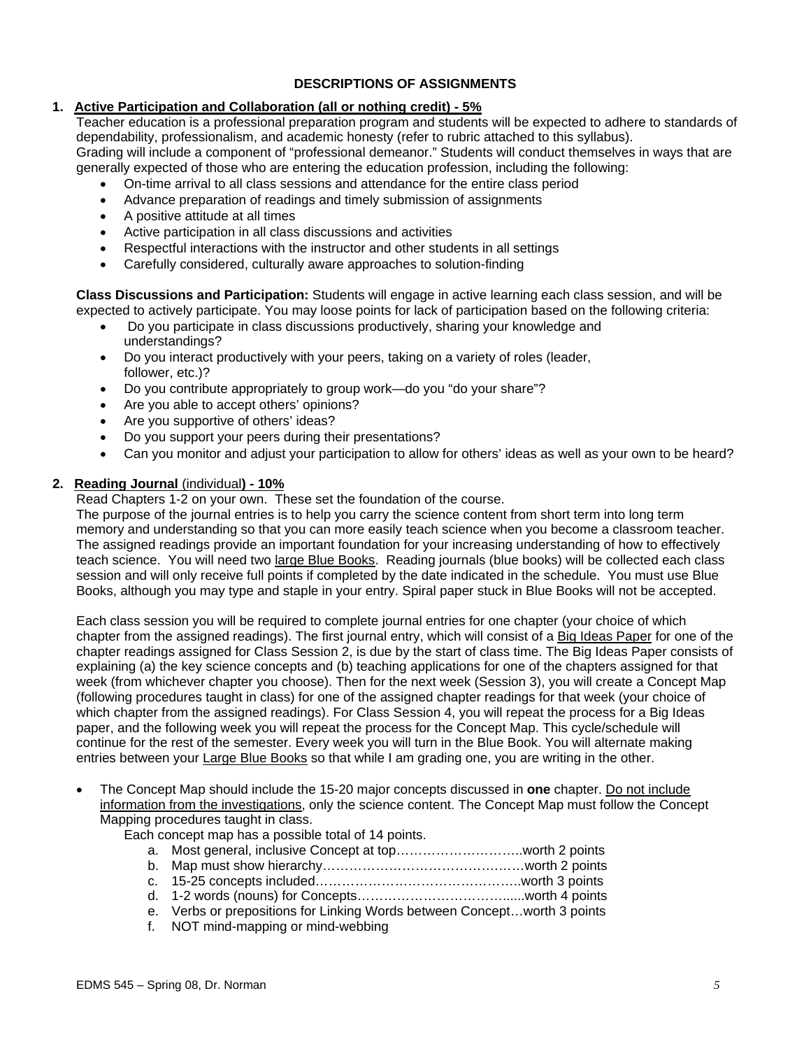# **DESCRIPTIONS OF ASSIGNMENTS**

# **1. Active Participation and Collaboration (all or nothing credit) - 5%**

Teacher education is a professional preparation program and students will be expected to adhere to standards of dependability, professionalism, and academic honesty (refer to rubric attached to this syllabus). Grading will include a component of "professional demeanor." Students will conduct themselves in ways that are generally expected of those who are entering the education profession, including the following:

- On-time arrival to all class sessions and attendance for the entire class period
- Advance preparation of readings and timely submission of assignments
- A positive attitude at all times
- Active participation in all class discussions and activities
- Respectful interactions with the instructor and other students in all settings
- Carefully considered, culturally aware approaches to solution-finding

**Class Discussions and Participation:** Students will engage in active learning each class session, and will be expected to actively participate. You may loose points for lack of participation based on the following criteria:

- Do you participate in class discussions productively, sharing your knowledge and understandings?
- Do you interact productively with your peers, taking on a variety of roles (leader, follower, etc.)?
- Do you contribute appropriately to group work—do you "do your share"?
- Are you able to accept others' opinions?
- Are you supportive of others' ideas?
- Do you support your peers during their presentations?
- Can you monitor and adjust your participation to allow for others' ideas as well as your own to be heard?

## **2. Reading Journal** (individual**) - 10%**

Read Chapters 1-2 on your own. These set the foundation of the course.

The purpose of the journal entries is to help you carry the science content from short term into long term memory and understanding so that you can more easily teach science when you become a classroom teacher. The assigned readings provide an important foundation for your increasing understanding of how to effectively teach science. You will need two large Blue Books. Reading journals (blue books) will be collected each class session and will only receive full points if completed by the date indicated in the schedule. You must use Blue Books, although you may type and staple in your entry. Spiral paper stuck in Blue Books will not be accepted.

Each class session you will be required to complete journal entries for one chapter (your choice of which chapter from the assigned readings). The first journal entry, which will consist of a Big Ideas Paper for one of the chapter readings assigned for Class Session 2, is due by the start of class time. The Big Ideas Paper consists of explaining (a) the key science concepts and (b) teaching applications for one of the chapters assigned for that week (from whichever chapter you choose). Then for the next week (Session 3), you will create a Concept Map (following procedures taught in class) for one of the assigned chapter readings for that week (your choice of which chapter from the assigned readings). For Class Session 4, you will repeat the process for a Big Ideas paper, and the following week you will repeat the process for the Concept Map. This cycle/schedule will continue for the rest of the semester. Every week you will turn in the Blue Book. You will alternate making entries between your Large Blue Books so that while I am grading one, you are writing in the other.

• The Concept Map should include the 15-20 major concepts discussed in **one** chapter. Do not include information from the investigations, only the science content. The Concept Map must follow the Concept Mapping procedures taught in class.

Each concept map has a possible total of 14 points.

- a. Most general, inclusive Concept at top………………………..worth 2 points
- b. Map must show hierarchy………………………………….……worth 2 points
- c. 15-25 concepts included………………………………………..worth 3 points
- d. 1-2 words (nouns) for Concepts……………………………......worth 4 points e. Verbs or prepositions for Linking Words between Concept…worth 3 points
- f. NOT mind-mapping or mind-webbing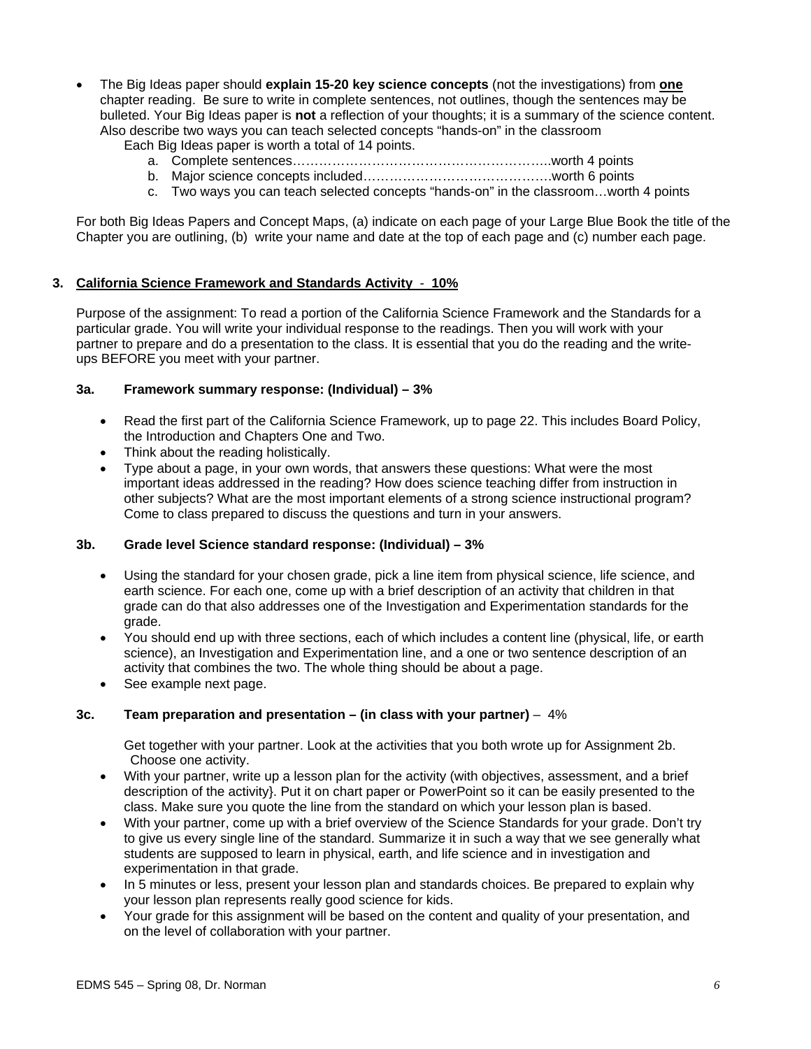• The Big Ideas paper should **explain 15-20 key science concepts** (not the investigations) from **one**  chapter reading. Be sure to write in complete sentences, not outlines, though the sentences may be bulleted. Your Big Ideas paper is **not** a reflection of your thoughts; it is a summary of the science content. Also describe two ways you can teach selected concepts "hands-on" in the classroom

Each Big Ideas paper is worth a total of 14 points.

- a. Complete sentences…………………………………………………..worth 4 points
- b. Major science concepts included…………………………………….worth 6 points
- c. Two ways you can teach selected concepts "hands-on" in the classroom…worth 4 points

For both Big Ideas Papers and Concept Maps, (a) indicate on each page of your Large Blue Book the title of the Chapter you are outlining, (b) write your name and date at the top of each page and (c) number each page.

### **3. California Science Framework and Standards Activity** - **10%**

Purpose of the assignment: To read a portion of the California Science Framework and the Standards for a particular grade. You will write your individual response to the readings. Then you will work with your partner to prepare and do a presentation to the class. It is essential that you do the reading and the writeups BEFORE you meet with your partner.

### **3a. Framework summary response: (Individual) – 3%**

- Read the first part of the California Science Framework, up to page 22. This includes Board Policy, the Introduction and Chapters One and Two.
- Think about the reading holistically.
- Type about a page, in your own words, that answers these questions: What were the most important ideas addressed in the reading? How does science teaching differ from instruction in other subjects? What are the most important elements of a strong science instructional program? Come to class prepared to discuss the questions and turn in your answers.

### **3b. Grade level Science standard response: (Individual) – 3%**

- Using the standard for your chosen grade, pick a line item from physical science, life science, and earth science. For each one, come up with a brief description of an activity that children in that grade can do that also addresses one of the Investigation and Experimentation standards for the grade.
- You should end up with three sections, each of which includes a content line (physical, life, or earth science), an Investigation and Experimentation line, and a one or two sentence description of an activity that combines the two. The whole thing should be about a page.
- See example next page.

# **3c. Team preparation and presentation – (in class with your partner)** – 4%

Get together with your partner. Look at the activities that you both wrote up for Assignment 2b. Choose one activity.

- With your partner, write up a lesson plan for the activity (with objectives, assessment, and a brief description of the activity}. Put it on chart paper or PowerPoint so it can be easily presented to the class. Make sure you quote the line from the standard on which your lesson plan is based.
- With your partner, come up with a brief overview of the Science Standards for your grade. Don't try to give us every single line of the standard. Summarize it in such a way that we see generally what students are supposed to learn in physical, earth, and life science and in investigation and experimentation in that grade.
- In 5 minutes or less, present your lesson plan and standards choices. Be prepared to explain why your lesson plan represents really good science for kids.
- Your grade for this assignment will be based on the content and quality of your presentation, and on the level of collaboration with your partner.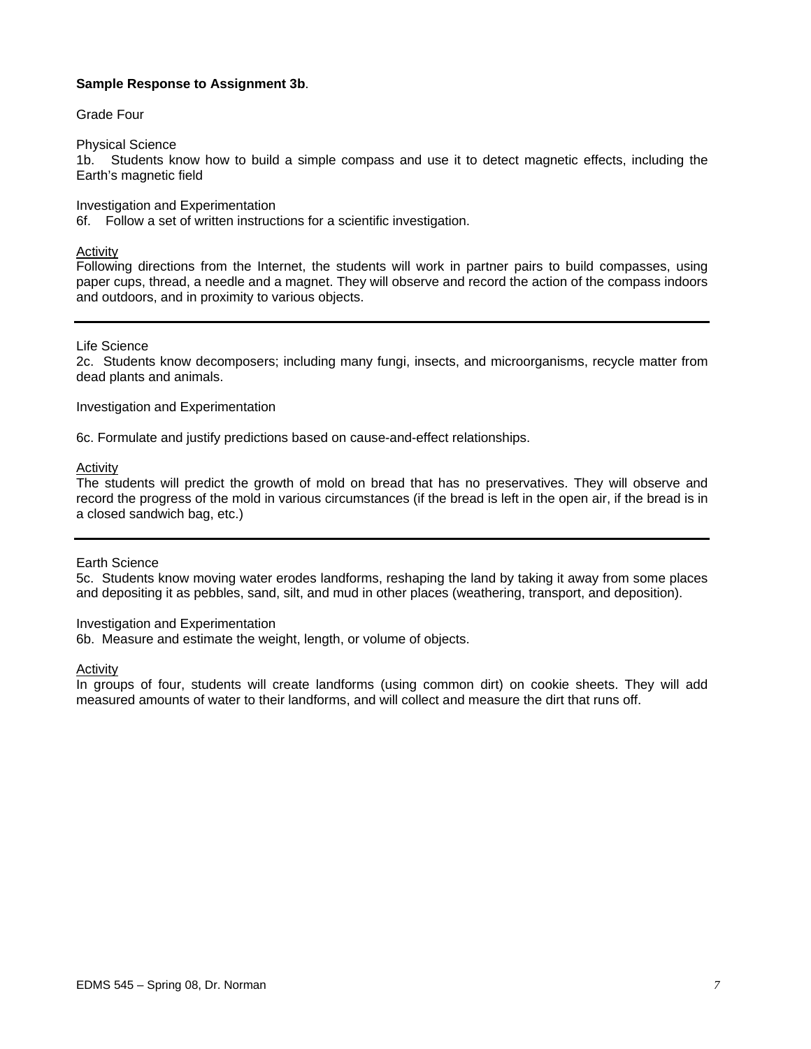## **Sample Response to Assignment 3b**.

## Grade Four

### Physical Science

1b. Students know how to build a simple compass and use it to detect magnetic effects, including the Earth's magnetic field

Investigation and Experimentation

6f. Follow a set of written instructions for a scientific investigation.

## Activity

Following directions from the Internet, the students will work in partner pairs to build compasses, using paper cups, thread, a needle and a magnet. They will observe and record the action of the compass indoors and outdoors, and in proximity to various objects.

## Life Science

2c. Students know decomposers; including many fungi, insects, and microorganisms, recycle matter from dead plants and animals.

### Investigation and Experimentation

6c. Formulate and justify predictions based on cause-and-effect relationships.

# **Activity**

The students will predict the growth of mold on bread that has no preservatives. They will observe and record the progress of the mold in various circumstances (if the bread is left in the open air, if the bread is in a closed sandwich bag, etc.)

### Earth Science

5c. Students know moving water erodes landforms, reshaping the land by taking it away from some places and depositing it as pebbles, sand, silt, and mud in other places (weathering, transport, and deposition).

### Investigation and Experimentation

6b. Measure and estimate the weight, length, or volume of objects.

### Activity

In groups of four, students will create landforms (using common dirt) on cookie sheets. They will add measured amounts of water to their landforms, and will collect and measure the dirt that runs off.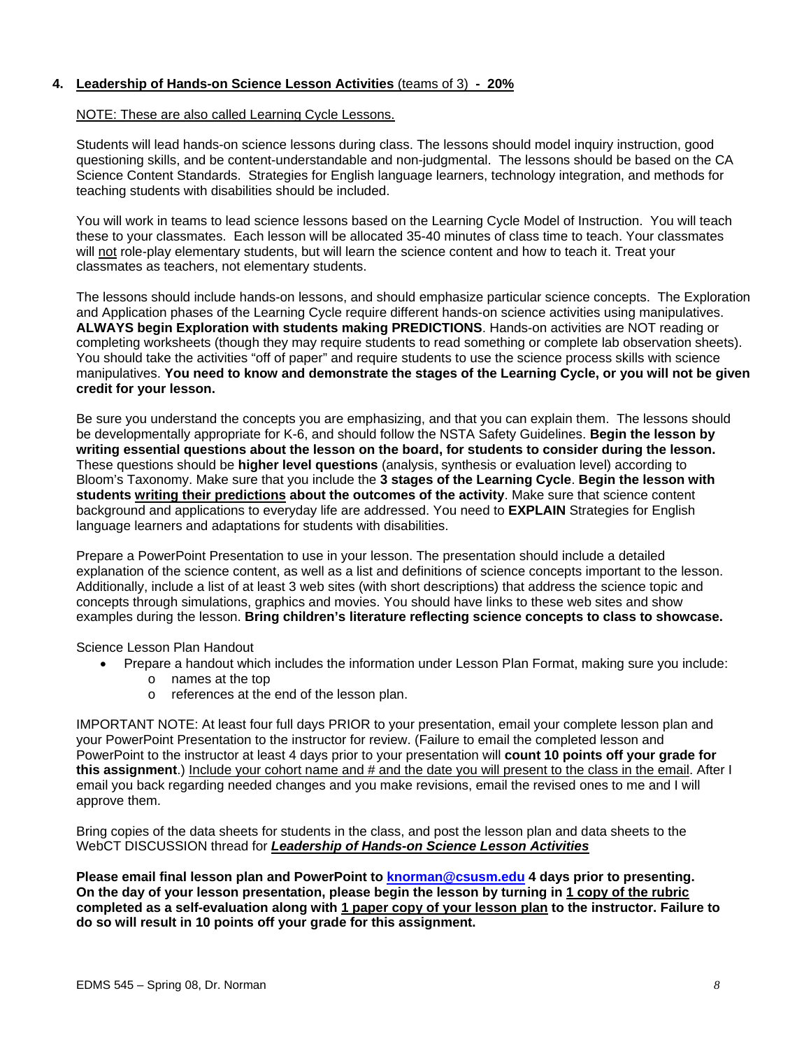# **4. Leadership of Hands-on Science Lesson Activities** (teams of 3) **- 20%**

#### NOTE: These are also called Learning Cycle Lessons.

Students will lead hands-on science lessons during class. The lessons should model inquiry instruction, good questioning skills, and be content-understandable and non-judgmental. The lessons should be based on the CA Science Content Standards. Strategies for English language learners, technology integration, and methods for teaching students with disabilities should be included.

You will work in teams to lead science lessons based on the Learning Cycle Model of Instruction. You will teach these to your classmates. Each lesson will be allocated 35-40 minutes of class time to teach. Your classmates will not role-play elementary students, but will learn the science content and how to teach it. Treat your classmates as teachers, not elementary students.

The lessons should include hands-on lessons, and should emphasize particular science concepts. The Exploration and Application phases of the Learning Cycle require different hands-on science activities using manipulatives. **ALWAYS begin Exploration with students making PREDICTIONS**. Hands-on activities are NOT reading or completing worksheets (though they may require students to read something or complete lab observation sheets). You should take the activities "off of paper" and require students to use the science process skills with science manipulatives. **You need to know and demonstrate the stages of the Learning Cycle, or you will not be given credit for your lesson.**

Be sure you understand the concepts you are emphasizing, and that you can explain them. The lessons should be developmentally appropriate for K-6, and should follow the NSTA Safety Guidelines. **Begin the lesson by writing essential questions about the lesson on the board, for students to consider during the lesson.**  These questions should be **higher level questions** (analysis, synthesis or evaluation level) according to Bloom's Taxonomy. Make sure that you include the **3 stages of the Learning Cycle**. **Begin the lesson with students writing their predictions about the outcomes of the activity**. Make sure that science content background and applications to everyday life are addressed. You need to **EXPLAIN** Strategies for English language learners and adaptations for students with disabilities.

Prepare a PowerPoint Presentation to use in your lesson. The presentation should include a detailed explanation of the science content, as well as a list and definitions of science concepts important to the lesson. Additionally, include a list of at least 3 web sites (with short descriptions) that address the science topic and concepts through simulations, graphics and movies. You should have links to these web sites and show examples during the lesson. **Bring children's literature reflecting science concepts to class to showcase.**

Science Lesson Plan Handout

- Prepare a handout which includes the information under Lesson Plan Format, making sure you include:
	- o names at the top
	- o references at the end of the lesson plan.

IMPORTANT NOTE: At least four full days PRIOR to your presentation, email your complete lesson plan and your PowerPoint Presentation to the instructor for review. (Failure to email the completed lesson and PowerPoint to the instructor at least 4 days prior to your presentation will **count 10 points off your grade for this assignment**.) Include your cohort name and # and the date you will present to the class in the email. After I email you back regarding needed changes and you make revisions, email the revised ones to me and I will approve them.

Bring copies of the data sheets for students in the class, and post the lesson plan and data sheets to the WebCT DISCUSSION thread for *Leadership of Hands-on Science Lesson Activities*

**Please email final lesson plan and PowerPoint to knorman@csusm.edu 4 days prior to presenting. On the day of your lesson presentation, please begin the lesson by turning in 1 copy of the rubric completed as a self-evaluation along with 1 paper copy of your lesson plan to the instructor. Failure to do so will result in 10 points off your grade for this assignment.**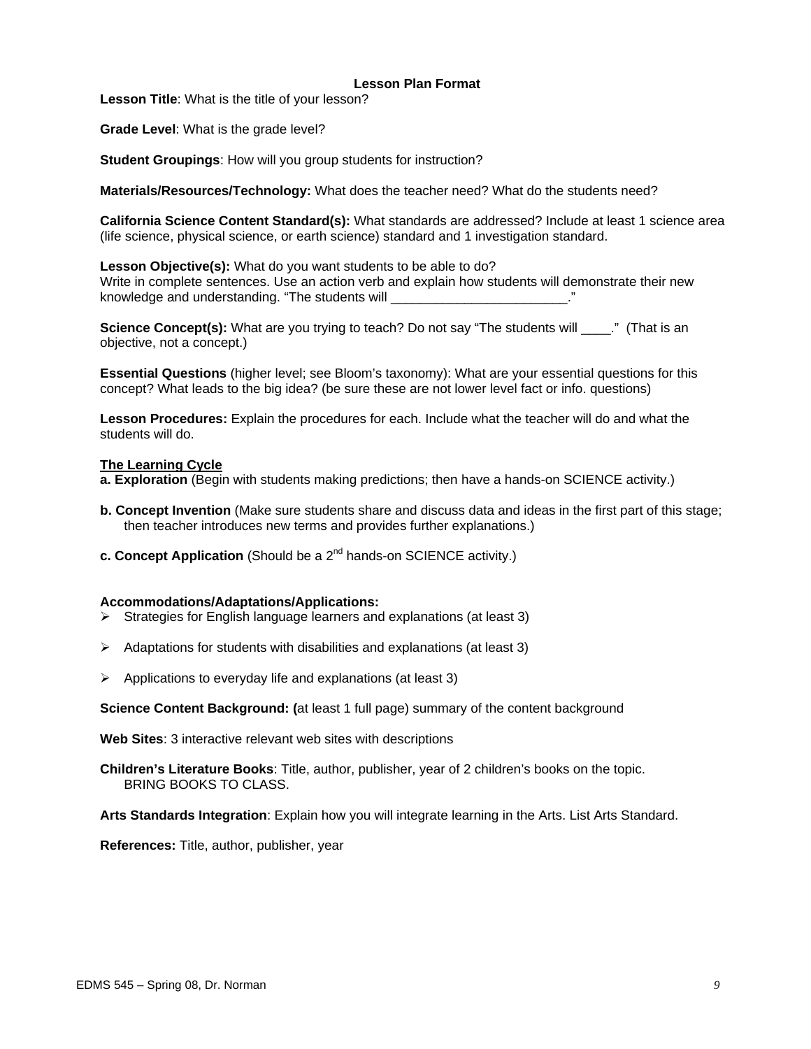#### **Lesson Plan Format**

**Lesson Title**: What is the title of your lesson?

**Grade Level**: What is the grade level?

**Student Groupings**: How will you group students for instruction?

**Materials/Resources/Technology:** What does the teacher need? What do the students need?

**California Science Content Standard(s):** What standards are addressed? Include at least 1 science area (life science, physical science, or earth science) standard and 1 investigation standard.

**Lesson Objective(s):** What do you want students to be able to do? Write in complete sentences. Use an action verb and explain how students will demonstrate their new knowledge and understanding. "The students will

**Science Concept(s):** What are you trying to teach? Do not say "The students will \_\_\_\_." (That is an objective, not a concept.)

**Essential Questions** (higher level; see Bloom's taxonomy): What are your essential questions for this concept? What leads to the big idea? (be sure these are not lower level fact or info. questions)

**Lesson Procedures:** Explain the procedures for each. Include what the teacher will do and what the students will do.

#### **The Learning Cycle**

**a. Exploration** (Begin with students making predictions; then have a hands-on SCIENCE activity.)

- **b. Concept Invention** (Make sure students share and discuss data and ideas in the first part of this stage; then teacher introduces new terms and provides further explanations.)
- **c. Concept Application** (Should be a 2<sup>nd</sup> hands-on SCIENCE activity.)

#### **Accommodations/Adaptations/Applications:**

- ¾ Strategies for English language learners and explanations (at least 3)
- $\triangleright$  Adaptations for students with disabilities and explanations (at least 3)
- $\triangleright$  Applications to everyday life and explanations (at least 3)

**Science Content Background: (**at least 1 full page) summary of the content background

**Web Sites**: 3 interactive relevant web sites with descriptions

**Children's Literature Books**: Title, author, publisher, year of 2 children's books on the topic. BRING BOOKS TO CLASS.

**Arts Standards Integration**: Explain how you will integrate learning in the Arts. List Arts Standard.

**References:** Title, author, publisher, year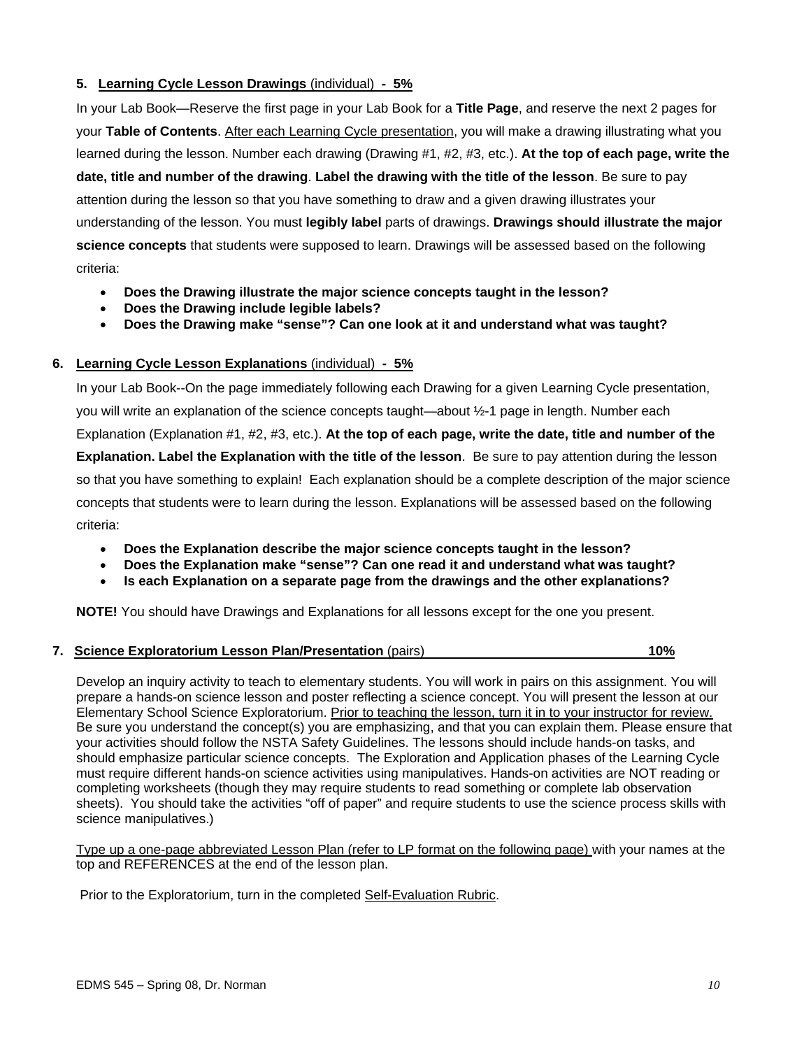# **5. Learning Cycle Lesson Drawings** (individual) **- 5%**

In your Lab Book—Reserve the first page in your Lab Book for a **Title Page**, and reserve the next 2 pages for your **Table of Contents**. After each Learning Cycle presentation, you will make a drawing illustrating what you learned during the lesson. Number each drawing (Drawing #1, #2, #3, etc.). **At the top of each page, write the date, title and number of the drawing**. **Label the drawing with the title of the lesson**. Be sure to pay attention during the lesson so that you have something to draw and a given drawing illustrates your understanding of the lesson. You must **legibly label** parts of drawings. **Drawings should illustrate the major science concepts** that students were supposed to learn. Drawings will be assessed based on the following criteria:

- **Does the Drawing illustrate the major science concepts taught in the lesson?**
- **Does the Drawing include legible labels?**
- **Does the Drawing make "sense"? Can one look at it and understand what was taught?**

## **6. Learning Cycle Lesson Explanations** (individual) **- 5%**

In your Lab Book--On the page immediately following each Drawing for a given Learning Cycle presentation, you will write an explanation of the science concepts taught—about ½-1 page in length. Number each Explanation (Explanation #1, #2, #3, etc.). **At the top of each page, write the date, title and number of the Explanation. Label the Explanation with the title of the lesson**. Be sure to pay attention during the lesson so that you have something to explain! Each explanation should be a complete description of the major science concepts that students were to learn during the lesson. Explanations will be assessed based on the following criteria:

- **Does the Explanation describe the major science concepts taught in the lesson?**
- **Does the Explanation make "sense"? Can one read it and understand what was taught?**
- **Is each Explanation on a separate page from the drawings and the other explanations?**

**NOTE!** You should have Drawings and Explanations for all lessons except for the one you present.

# **7. Science Exploratorium Lesson Plan/Presentation** (pairs) **10%**

Develop an inquiry activity to teach to elementary students. You will work in pairs on this assignment. You will prepare a hands-on science lesson and poster reflecting a science concept. You will present the lesson at our Elementary School Science Exploratorium. Prior to teaching the lesson, turn it in to your instructor for review. Be sure you understand the concept(s) you are emphasizing, and that you can explain them. Please ensure that your activities should follow the NSTA Safety Guidelines. The lessons should include hands-on tasks, and should emphasize particular science concepts. The Exploration and Application phases of the Learning Cycle must require different hands-on science activities using manipulatives. Hands-on activities are NOT reading or completing worksheets (though they may require students to read something or complete lab observation sheets). You should take the activities "off of paper" and require students to use the science process skills with science manipulatives.)

Type up a one-page abbreviated Lesson Plan (refer to LP format on the following page) with your names at the top and REFERENCES at the end of the lesson plan.

Prior to the Exploratorium, turn in the completed Self-Evaluation Rubric.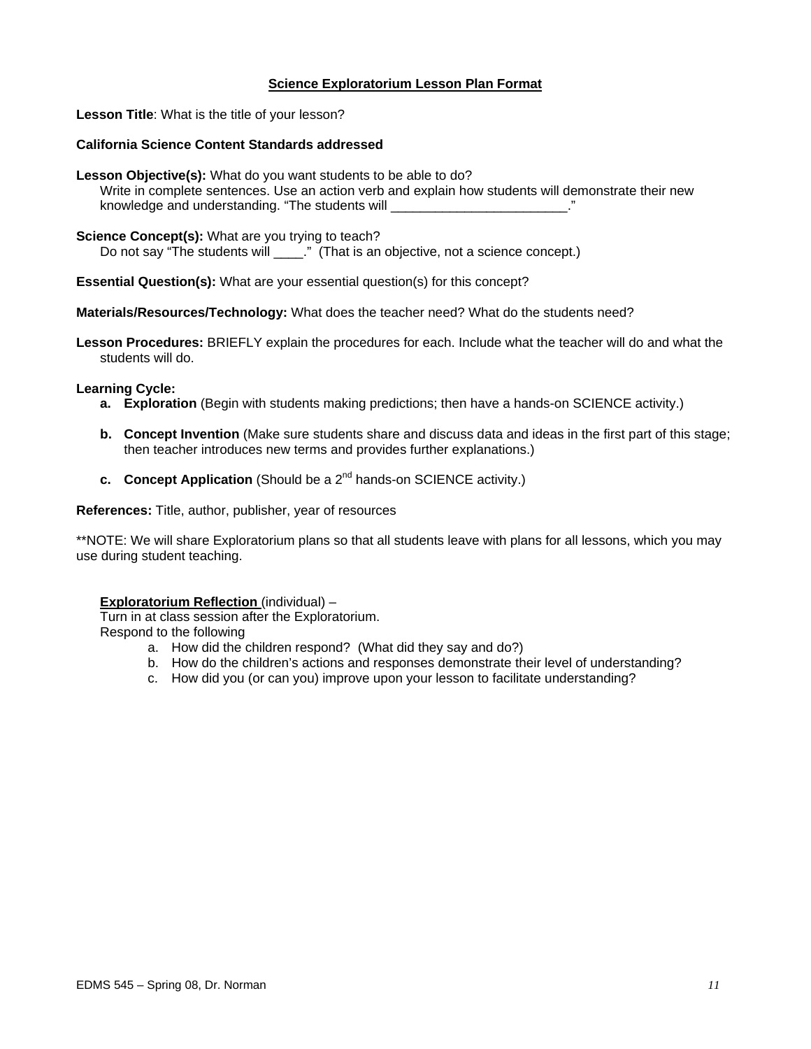# **Science Exploratorium Lesson Plan Format**

**Lesson Title**: What is the title of your lesson?

### **California Science Content Standards addressed**

**Lesson Objective(s):** What do you want students to be able to do?

 Write in complete sentences. Use an action verb and explain how students will demonstrate their new knowledge and understanding. "The students will example and understanding."

#### **Science Concept(s):** What are you trying to teach?

Do not say "The students will \_\_\_\_." (That is an objective, not a science concept.)

**Essential Question(s):** What are your essential question(s) for this concept?

**Materials/Resources/Technology:** What does the teacher need? What do the students need?

**Lesson Procedures:** BRIEFLY explain the procedures for each. Include what the teacher will do and what the students will do.

#### **Learning Cycle:**

- **a. Exploration** (Begin with students making predictions; then have a hands-on SCIENCE activity.)
- **b. Concept Invention** (Make sure students share and discuss data and ideas in the first part of this stage; then teacher introduces new terms and provides further explanations.)
- **c.** Concept Application (Should be a 2<sup>nd</sup> hands-on SCIENCE activity.)

**References:** Title, author, publisher, year of resources

\*\*NOTE: We will share Exploratorium plans so that all students leave with plans for all lessons, which you may use during student teaching.

### **Exploratorium Reflection** (individual) –

Turn in at class session after the Exploratorium. Respond to the following

- a. How did the children respond? (What did they say and do?)
- b. How do the children's actions and responses demonstrate their level of understanding?
- c. How did you (or can you) improve upon your lesson to facilitate understanding?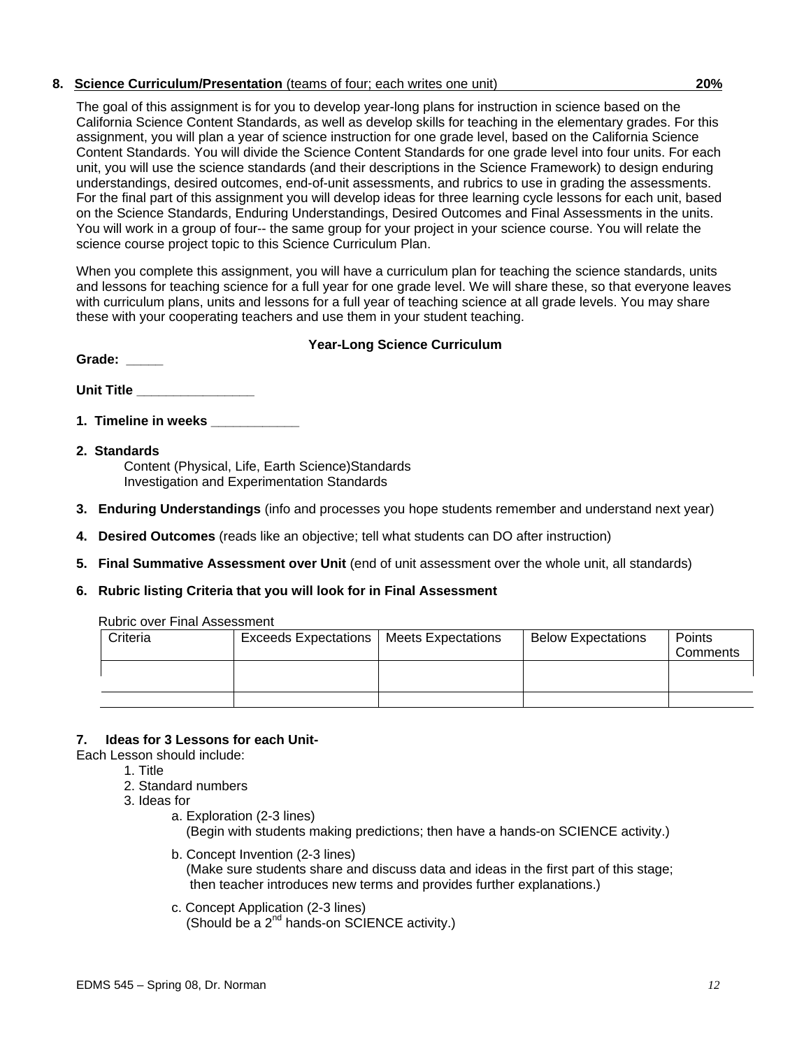# **8. Science Curriculum/Presentation** (teams of four; each writes one unit) **20%**

The goal of this assignment is for you to develop year-long plans for instruction in science based on the California Science Content Standards, as well as develop skills for teaching in the elementary grades. For this assignment, you will plan a year of science instruction for one grade level, based on the California Science Content Standards. You will divide the Science Content Standards for one grade level into four units. For each unit, you will use the science standards (and their descriptions in the Science Framework) to design enduring understandings, desired outcomes, end-of-unit assessments, and rubrics to use in grading the assessments. For the final part of this assignment you will develop ideas for three learning cycle lessons for each unit, based on the Science Standards, Enduring Understandings, Desired Outcomes and Final Assessments in the units. You will work in a group of four-- the same group for your project in your science course. You will relate the science course project topic to this Science Curriculum Plan.

When you complete this assignment, you will have a curriculum plan for teaching the science standards, units and lessons for teaching science for a full year for one grade level. We will share these, so that everyone leaves with curriculum plans, units and lessons for a full year of teaching science at all grade levels. You may share these with your cooperating teachers and use them in your student teaching.

# **Year-Long Science Curriculum**

| <b>Unit Title</b> |  |  |
|-------------------|--|--|

**1. Timeline in weeks** 

Grade:

- **2. Standards**  Content (Physical, Life, Earth Science)Standards Investigation and Experimentation Standards
- **3. Enduring Understandings** (info and processes you hope students remember and understand next year)
- **4. Desired Outcomes** (reads like an objective; tell what students can DO after instruction)
- **5. Final Summative Assessment over Unit** (end of unit assessment over the whole unit, all standards)
- **6. Rubric listing Criteria that you will look for in Final Assessment**

|  | <b>Rubric over Final Assessment</b> |
|--|-------------------------------------|
|  |                                     |

| Criteria | <b>Exceeds Expectations</b> | Meets Expectations | <b>Below Expectations</b> | Points<br>Comments |
|----------|-----------------------------|--------------------|---------------------------|--------------------|
|          |                             |                    |                           |                    |
|          |                             |                    |                           |                    |

# **7. Ideas for 3 Lessons for each Unit-**

- Each Lesson should include:
	- 1. Title
	- 2. Standard numbers
	- 3. Ideas for
		- a. Exploration (2-3 lines) (Begin with students making predictions; then have a hands-on SCIENCE activity.)
		- b. Concept Invention (2-3 lines) (Make sure students share and discuss data and ideas in the first part of this stage; then teacher introduces new terms and provides further explanations.)
		- c. Concept Application (2-3 lines) (Should be a 2<sup>nd</sup> hands-on SCIENCE activity.)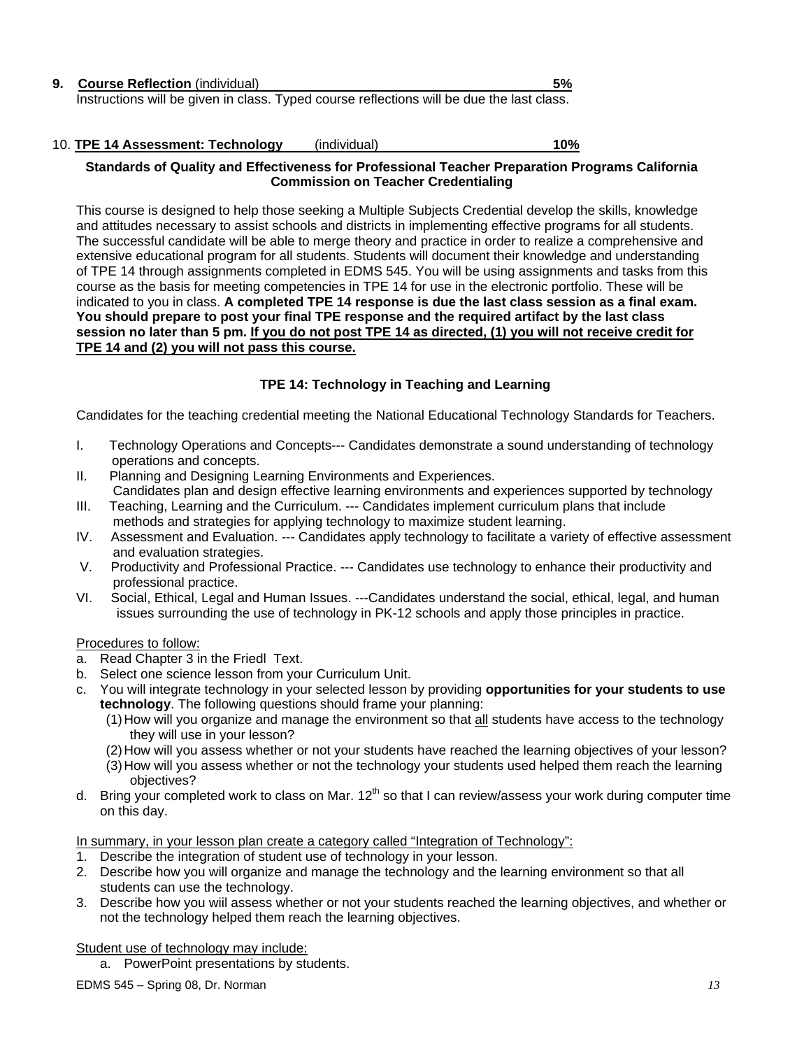| <b>9. Course Reflection (individual)</b>                                                  | - 5% |
|-------------------------------------------------------------------------------------------|------|
| Instructions will be given in class. Typed course reflections will be due the last class. |      |

| 10. TPE 14 Assessment: Technology | (individual) | 10% |
|-----------------------------------|--------------|-----|
|                                   |              |     |

## **Standards of Quality and Effectiveness for Professional Teacher Preparation Programs California Commission on Teacher Credentialing**

This course is designed to help those seeking a Multiple Subjects Credential develop the skills, knowledge and attitudes necessary to assist schools and districts in implementing effective programs for all students. The successful candidate will be able to merge theory and practice in order to realize a comprehensive and extensive educational program for all students. Students will document their knowledge and understanding of TPE 14 through assignments completed in EDMS 545. You will be using assignments and tasks from this course as the basis for meeting competencies in TPE 14 for use in the electronic portfolio. These will be indicated to you in class. **A completed TPE 14 response is due the last class session as a final exam. You should prepare to post your final TPE response and the required artifact by the last class session no later than 5 pm. If you do not post TPE 14 as directed, (1) you will not receive credit for TPE 14 and (2) you will not pass this course.** 

# **TPE 14: Technology in Teaching and Learning**

Candidates for the teaching credential meeting the National Educational Technology Standards for Teachers.

- I. Technology Operations and Concepts--- Candidates demonstrate a sound understanding of technology operations and concepts.
- II. Planning and Designing Learning Environments and Experiences. Candidates plan and design effective learning environments and experiences supported by technology
- III. Teaching, Learning and the Curriculum. --- Candidates implement curriculum plans that include methods and strategies for applying technology to maximize student learning.
- IV. Assessment and Evaluation. --- Candidates apply technology to facilitate a variety of effective assessment and evaluation strategies.<br>V. Productivity and Profession
- Productivity and Professional Practice. --- Candidates use technology to enhance their productivity and professional practice.
- VI. Social, Ethical, Legal and Human Issues. ---Candidates understand the social, ethical, legal, and human issues surrounding the use of technology in PK-12 schools and apply those principles in practice.

### Procedures to follow:

- a. Read Chapter 3 in the Friedl Text.
- b. Select one science lesson from your Curriculum Unit.
- c. You will integrate technology in your selected lesson by providing **opportunities for your students to use technology**. The following questions should frame your planning:
	- (1) How will you organize and manage the environment so that all students have access to the technology they will use in your lesson?
	- (2) How will you assess whether or not your students have reached the learning objectives of your lesson?
	- (3) How will you assess whether or not the technology your students used helped them reach the learning objectives?
- d. Bring your completed work to class on Mar.  $12^{th}$  so that I can review/assess your work during computer time on this day.

In summary, in your lesson plan create a category called "Integration of Technology":

- 1. Describe the integration of student use of technology in your lesson.
- 2. Describe how you will organize and manage the technology and the learning environment so that all students can use the technology.
- 3. Describe how you wiil assess whether or not your students reached the learning objectives, and whether or not the technology helped them reach the learning objectives.

Student use of technology may include:

a. PowerPoint presentations by students.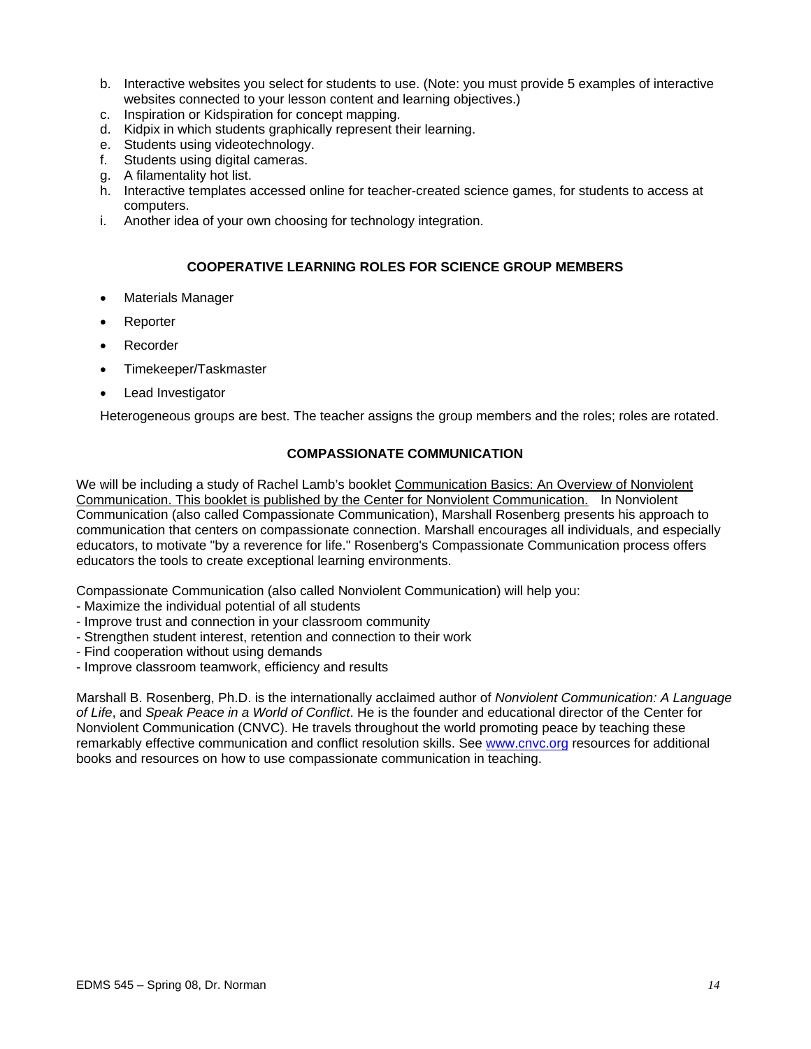- b. Interactive websites you select for students to use. (Note: you must provide 5 examples of interactive websites connected to your lesson content and learning objectives.)
- c. Inspiration or Kidspiration for concept mapping.
- d. Kidpix in which students graphically represent their learning.
- e. Students using videotechnology.
- f. Students using digital cameras.
- g. A filamentality hot list.
- h. Interactive templates accessed online for teacher-created science games, for students to access at computers.
- i. Another idea of your own choosing for technology integration.

# **COOPERATIVE LEARNING ROLES FOR SCIENCE GROUP MEMBERS**

- Materials Manager
- **Reporter**
- Recorder
- Timekeeper/Taskmaster
- Lead Investigator

Heterogeneous groups are best. The teacher assigns the group members and the roles; roles are rotated.

# **COMPASSIONATE COMMUNICATION**

We will be including a study of Rachel Lamb's booklet Communication Basics: An Overview of Nonviolent Communication. This booklet is published by the Center for Nonviolent Communication. In Nonviolent Communication (also called Compassionate Communication), Marshall Rosenberg presents his approach to communication that centers on compassionate connection. Marshall encourages all individuals, and especially educators, to motivate "by a reverence for life." Rosenberg's Compassionate Communication process offers educators the tools to create exceptional learning environments.

Compassionate Communication (also called Nonviolent Communication) will help you:

- Maximize the individual potential of all students
- Improve trust and connection in your classroom community
- Strengthen student interest, retention and connection to their work
- Find cooperation without using demands
- Improve classroom teamwork, efficiency and results

Marshall B. Rosenberg, Ph.D. is the internationally acclaimed author of *Nonviolent Communication: A Language of Life*, and *Speak Peace in a World of Conflict*. He is the founder and educational director of the Center for Nonviolent Communication (CNVC). He travels throughout the world promoting peace by teaching these remarkably effective communication and conflict resolution skills. See www.cnvc.org resources for additional books and resources on how to use compassionate communication in teaching.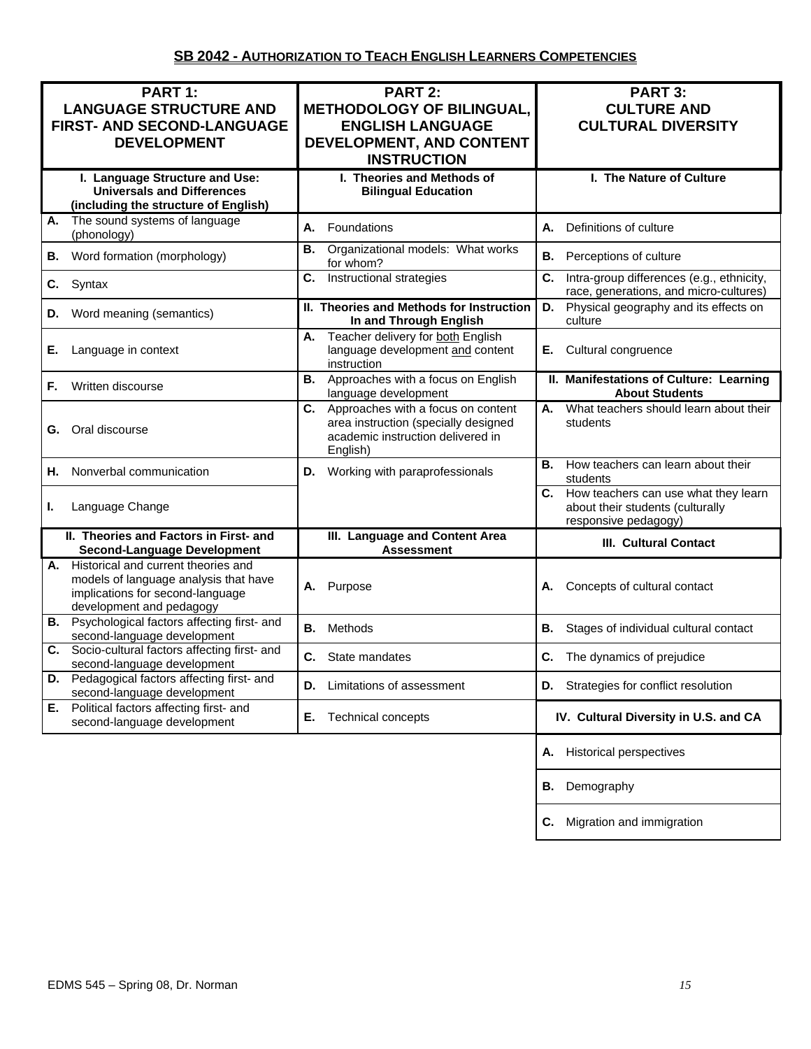| PART 1:<br><b>LANGUAGE STRUCTURE AND</b><br>FIRST- AND SECOND-LANGUAGE<br><b>DEVELOPMENT</b>                                                    | <b>PART 2:</b><br><b>METHODOLOGY OF BILINGUAL,</b><br><b>ENGLISH LANGUAGE</b><br>DEVELOPMENT, AND CONTENT<br><b>INSTRUCTION</b>   | PART 3:<br><b>CULTURE AND</b><br><b>CULTURAL DIVERSITY</b>                                          |
|-------------------------------------------------------------------------------------------------------------------------------------------------|-----------------------------------------------------------------------------------------------------------------------------------|-----------------------------------------------------------------------------------------------------|
| I. Language Structure and Use:<br><b>Universals and Differences</b><br>(including the structure of English)                                     | I. Theories and Methods of<br><b>Bilingual Education</b>                                                                          | I. The Nature of Culture                                                                            |
| The sound systems of language<br>А.<br>(phonology)                                                                                              | Foundations<br>А.                                                                                                                 | Definitions of culture<br>А.                                                                        |
| Word formation (morphology)<br>В.                                                                                                               | Organizational models: What works<br>В.<br>for whom?                                                                              | В.<br>Perceptions of culture                                                                        |
| Syntax<br>C.                                                                                                                                    | C.<br>Instructional strategies                                                                                                    | C.<br>Intra-group differences (e.g., ethnicity,<br>race, generations, and micro-cultures)           |
| Word meaning (semantics)<br>D.                                                                                                                  | II. Theories and Methods for Instruction<br>In and Through English                                                                | Physical geography and its effects on<br>D.<br>culture                                              |
| Е.<br>Language in context                                                                                                                       | Teacher delivery for both English<br>А.<br>language development and content<br>instruction                                        | Cultural congruence<br>Е.                                                                           |
| Written discourse<br>F.                                                                                                                         | Approaches with a focus on English<br>В.<br>language development                                                                  | II. Manifestations of Culture: Learning<br><b>About Students</b>                                    |
| Oral discourse<br>G.                                                                                                                            | C.<br>Approaches with a focus on content<br>area instruction (specially designed<br>academic instruction delivered in<br>English) | What teachers should learn about their<br>А.<br>students                                            |
| Nonverbal communication<br>Н.                                                                                                                   | <b>D.</b> Working with paraprofessionals                                                                                          | How teachers can learn about their<br>В.<br>students                                                |
| Language Change<br>ı.                                                                                                                           |                                                                                                                                   | C. How teachers can use what they learn<br>about their students (culturally<br>responsive pedagogy) |
| II. Theories and Factors in First- and<br><b>Second-Language Development</b>                                                                    | III. Language and Content Area<br><b>Assessment</b>                                                                               | <b>III. Cultural Contact</b>                                                                        |
| A. Historical and current theories and<br>models of language analysis that have<br>implications for second-language<br>development and pedagogy | Purpose<br>Α.                                                                                                                     | Concepts of cultural contact<br>Α.                                                                  |
| <b>B.</b> Psychological factors affecting first- and<br>second-language development                                                             | Methods<br>В.                                                                                                                     | В.<br>Stages of individual cultural contact                                                         |
| Socio-cultural factors affecting first- and<br>С.<br>second-language development                                                                | <b>C.</b> State mandates                                                                                                          | C.<br>The dynamics of prejudice                                                                     |
| D. Pedagogical factors affecting first- and<br>second-language development                                                                      | Limitations of assessment<br>D.                                                                                                   | <b>D.</b> Strategies for conflict resolution                                                        |
| E. Political factors affecting first- and<br>second-language development                                                                        | Е.<br>Technical concepts                                                                                                          | IV. Cultural Diversity in U.S. and CA                                                               |
|                                                                                                                                                 |                                                                                                                                   | <b>Historical perspectives</b><br>Α.                                                                |
|                                                                                                                                                 |                                                                                                                                   | Demography<br>В.                                                                                    |
|                                                                                                                                                 |                                                                                                                                   | Migration and immigration<br>С.                                                                     |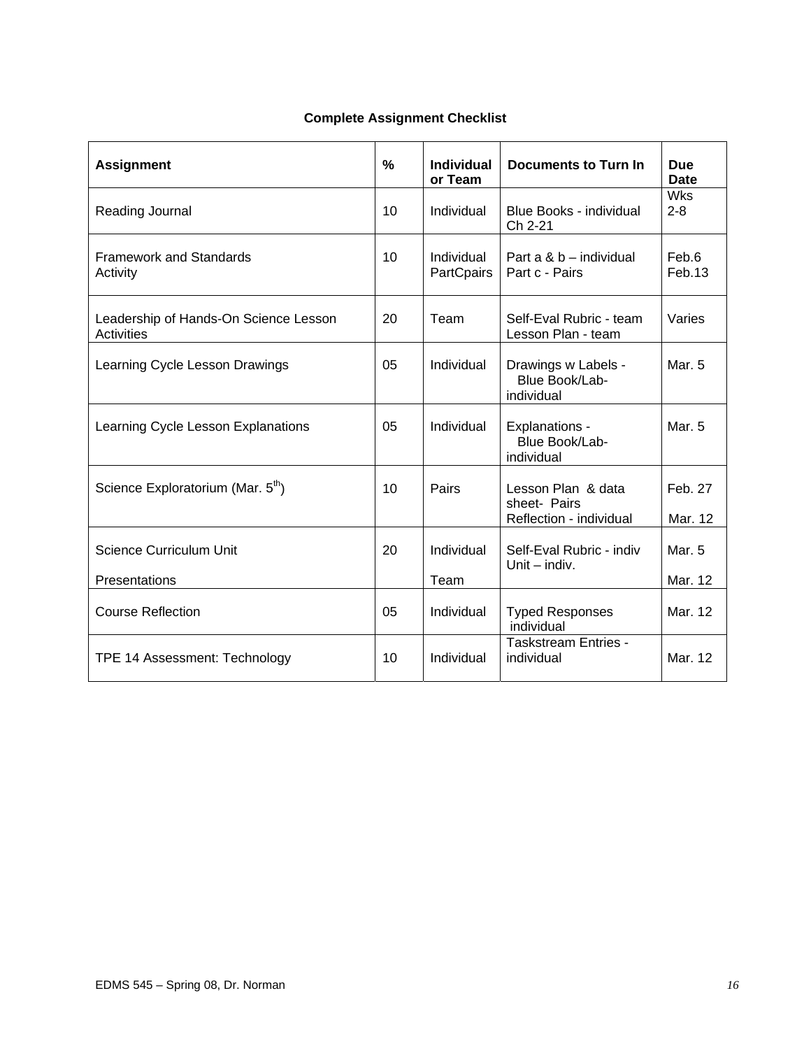## **Complete Assignment Checklist**

| <b>Assignment</b>                                   | $\frac{0}{0}$ | <b>Individual</b><br>or Team    | <b>Documents to Turn In</b>                                   | <b>Due</b><br><b>Date</b> |
|-----------------------------------------------------|---------------|---------------------------------|---------------------------------------------------------------|---------------------------|
| Reading Journal                                     | 10            | Individual                      | Blue Books - individual<br>Ch 2-21                            | <b>Wks</b><br>$2 - 8$     |
| <b>Framework and Standards</b><br>Activity          | 10            | Individual<br><b>PartCpairs</b> | Part a & b – individual<br>Part c - Pairs                     | Feb.6<br>Feb.13           |
| Leadership of Hands-On Science Lesson<br>Activities | 20            | Team                            | Self-Eval Rubric - team<br>Lesson Plan - team                 | Varies                    |
| Learning Cycle Lesson Drawings                      | 05            | Individual                      | Drawings w Labels -<br>Blue Book/Lab-<br>individual           | Mar. 5                    |
| Learning Cycle Lesson Explanations                  | 05            | Individual                      | Explanations -<br>Blue Book/Lab-<br>individual                | Mar. 5                    |
| Science Exploratorium (Mar. 5 <sup>th</sup> )       | 10            | Pairs                           | Lesson Plan & data<br>sheet- Pairs<br>Reflection - individual | Feb. 27<br>Mar. 12        |
| <b>Science Curriculum Unit</b><br>Presentations     | 20            | Individual<br>Team              | Self-Eval Rubric - indiv<br>Unit $-$ indiv.                   | Mar. 5<br>Mar. 12         |
| <b>Course Reflection</b>                            | 05            | Individual                      | <b>Typed Responses</b><br>individual                          | Mar. 12                   |
| TPE 14 Assessment: Technology                       | 10            | Individual                      | <b>Taskstream Entries -</b><br>individual                     | Mar. 12                   |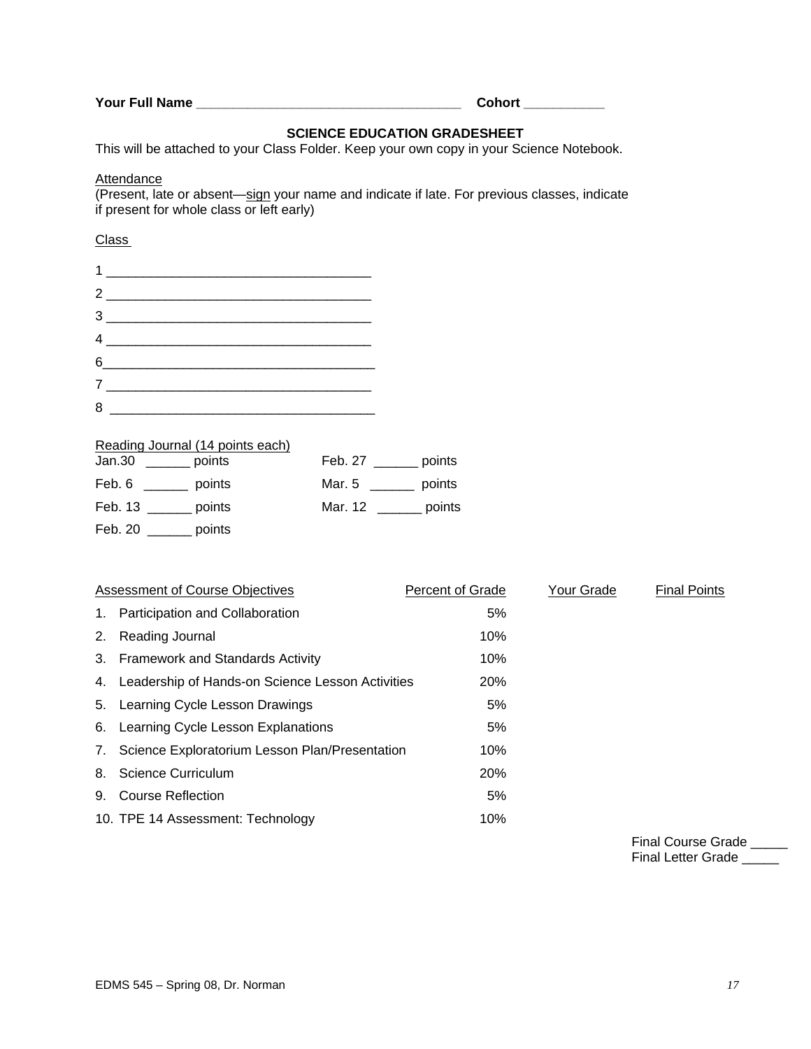|  |  |  | Your Full Name |  |
|--|--|--|----------------|--|
|--|--|--|----------------|--|

**Your Full Name \_\_\_\_\_\_\_\_\_\_\_\_\_\_\_\_\_\_\_\_\_\_\_\_\_\_\_\_\_\_\_\_\_\_\_\_ Cohort \_\_\_\_\_\_\_\_\_\_\_** 

# **SCIENCE EDUCATION GRADESHEET**

This will be attached to your Class Folder. Keep your own copy in your Science Notebook.

#### **Attendance**

(Present, late or absent—sign your name and indicate if late. For previous classes, indicate if present for whole class or left early)

# Class

|   | $1 \underline{\hspace{2cm}}$                                                                                                                                                                                                                                                                                                                                                                                                                                                                                                                         |  |
|---|------------------------------------------------------------------------------------------------------------------------------------------------------------------------------------------------------------------------------------------------------------------------------------------------------------------------------------------------------------------------------------------------------------------------------------------------------------------------------------------------------------------------------------------------------|--|
|   | $2 \overline{\phantom{a} \phantom{a} \phantom{a}}$                                                                                                                                                                                                                                                                                                                                                                                                                                                                                                   |  |
|   | $3 \overline{\phantom{1}}$                                                                                                                                                                                                                                                                                                                                                                                                                                                                                                                           |  |
|   | $\begin{array}{c} \n 4 \quad \text{---} \quad \text{---} \quad \text{---} \quad \text{---} \quad \text{---} \quad \text{---} \quad \text{---} \quad \text{---} \quad \text{---} \quad \text{---} \quad \text{---} \quad \text{---} \quad \text{---} \quad \text{---} \quad \text{---} \quad \text{---} \quad \text{---} \quad \text{---} \quad \text{---} \quad \text{---} \quad \text{---} \quad \text{---} \quad \text{---} \quad \text{---} \quad \text{---} \quad \text{---} \quad \text{---} \quad \text{---} \quad \text{---} \quad \text{---$ |  |
|   | $6 \qquad \qquad$                                                                                                                                                                                                                                                                                                                                                                                                                                                                                                                                    |  |
|   |                                                                                                                                                                                                                                                                                                                                                                                                                                                                                                                                                      |  |
| 8 |                                                                                                                                                                                                                                                                                                                                                                                                                                                                                                                                                      |  |

## Reading Journal (14 points each)

| Jan.30             | Feb. 27           |
|--------------------|-------------------|
| points             | points            |
| Feb. 6             | Mar. 5            |
| <b>1999</b> points | points            |
| Feb. 13 points     | Mar. 12<br>points |
| Feb. 20<br>points  |                   |

| Assessment of Course Objectives                     | Percent of Grade | Your Grade | <b>Final Points</b> |
|-----------------------------------------------------|------------------|------------|---------------------|
| 1. Participation and Collaboration                  | 5%               |            |                     |
| 2. Reading Journal                                  | 10%              |            |                     |
| 3. Framework and Standards Activity                 | 10%              |            |                     |
| 4. Leadership of Hands-on Science Lesson Activities | <b>20%</b>       |            |                     |
| 5. Learning Cycle Lesson Drawings                   | 5%               |            |                     |
| 6. Learning Cycle Lesson Explanations               | 5%               |            |                     |
| 7. Science Exploratorium Lesson Plan/Presentation   | 10%              |            |                     |
| 8. Science Curriculum                               | 20%              |            |                     |
| 9. Course Reflection                                | 5%               |            |                     |
| 10. TPE 14 Assessment: Technology                   | 10%              |            |                     |

Final Course Grade \_\_\_\_\_ Final Letter Grade \_\_\_\_\_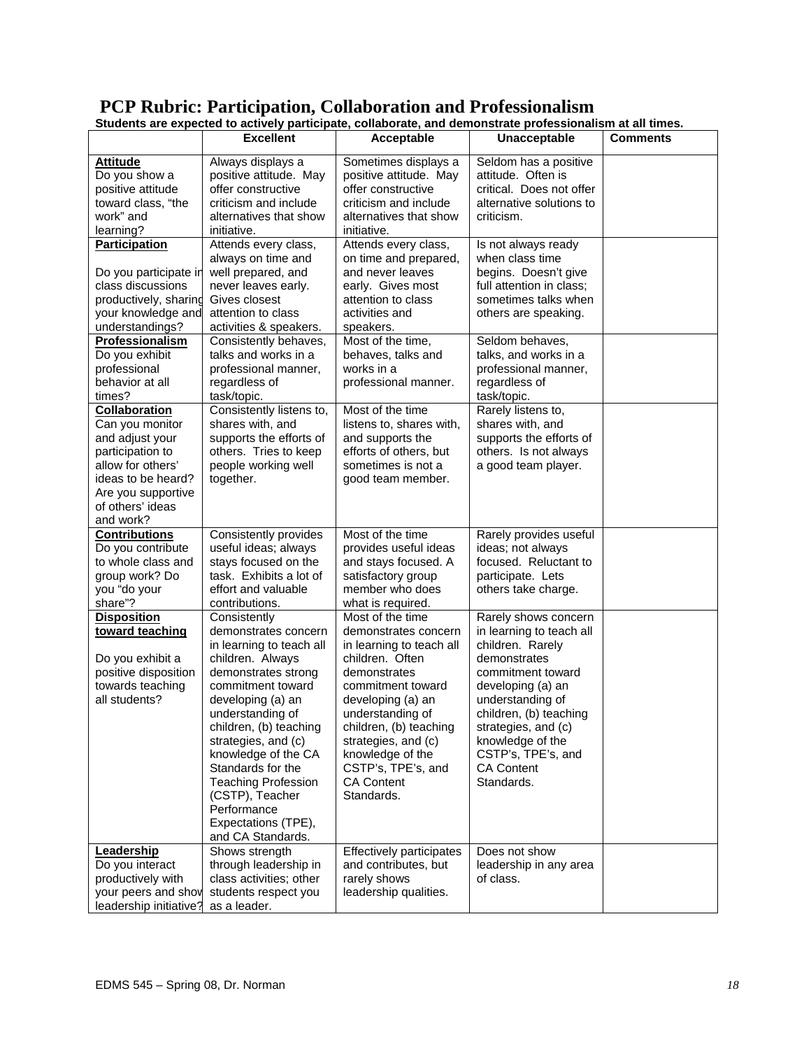|                                                                                                                                                                                                                                                                                                                                                                                        |                                                                                                                                                                                                                                                                                                                                                                                                           | Students are expected to actively participate, collaborate, and demonstrate professionalism at all times.                                                                                                                                                                                                                                                             |                                                                                                                                                                                                                                                                                                                                                                     |                 |
|----------------------------------------------------------------------------------------------------------------------------------------------------------------------------------------------------------------------------------------------------------------------------------------------------------------------------------------------------------------------------------------|-----------------------------------------------------------------------------------------------------------------------------------------------------------------------------------------------------------------------------------------------------------------------------------------------------------------------------------------------------------------------------------------------------------|-----------------------------------------------------------------------------------------------------------------------------------------------------------------------------------------------------------------------------------------------------------------------------------------------------------------------------------------------------------------------|---------------------------------------------------------------------------------------------------------------------------------------------------------------------------------------------------------------------------------------------------------------------------------------------------------------------------------------------------------------------|-----------------|
|                                                                                                                                                                                                                                                                                                                                                                                        | <b>Excellent</b>                                                                                                                                                                                                                                                                                                                                                                                          | Acceptable                                                                                                                                                                                                                                                                                                                                                            | Unacceptable                                                                                                                                                                                                                                                                                                                                                        | <b>Comments</b> |
| <b>Attitude</b><br>Do you show a<br>positive attitude<br>toward class. "the<br>work" and<br>learning?                                                                                                                                                                                                                                                                                  | Always displays a<br>positive attitude. May<br>offer constructive<br>criticism and include<br>alternatives that show<br>initiative.                                                                                                                                                                                                                                                                       | Sometimes displays a<br>positive attitude. May<br>offer constructive<br>criticism and include<br>alternatives that show<br>initiative.                                                                                                                                                                                                                                | Seldom has a positive<br>attitude. Often is<br>critical. Does not offer<br>alternative solutions to<br>criticism.                                                                                                                                                                                                                                                   |                 |
| <b>Participation</b><br>Do you participate in<br>class discussions<br>productively, sharing<br>your knowledge and<br>understandings?<br>Professionalism<br>Do you exhibit<br>professional<br>behavior at all<br>times?<br>Collaboration<br>Can you monitor<br>and adjust your<br>participation to<br>allow for others'<br>ideas to be heard?<br>Are you supportive<br>of others' ideas | Attends every class,<br>always on time and<br>well prepared, and<br>never leaves early.<br>Gives closest<br>attention to class<br>activities & speakers.<br>Consistently behaves,<br>talks and works in a<br>professional manner,<br>regardless of<br>task/topic.<br>Consistently listens to,<br>shares with, and<br>supports the efforts of<br>others. Tries to keep<br>people working well<br>together. | Attends every class,<br>on time and prepared,<br>and never leaves<br>early. Gives most<br>attention to class<br>activities and<br>speakers.<br>Most of the time,<br>behaves, talks and<br>works in a<br>professional manner.<br>Most of the time<br>listens to, shares with,<br>and supports the<br>efforts of others, but<br>sometimes is not a<br>good team member. | Is not always ready<br>when class time<br>begins. Doesn't give<br>full attention in class;<br>sometimes talks when<br>others are speaking.<br>Seldom behaves,<br>talks, and works in a<br>professional manner,<br>regardless of<br>task/topic.<br>Rarely listens to,<br>shares with, and<br>supports the efforts of<br>others. Is not always<br>a good team player. |                 |
| and work?<br><b>Contributions</b><br>Do you contribute<br>to whole class and<br>group work? Do<br>you "do your<br>share"?                                                                                                                                                                                                                                                              | Consistently provides<br>useful ideas; always<br>stays focused on the<br>task. Exhibits a lot of<br>effort and valuable<br>contributions.                                                                                                                                                                                                                                                                 | Most of the time<br>provides useful ideas<br>and stays focused. A<br>satisfactory group<br>member who does<br>what is required.                                                                                                                                                                                                                                       | Rarely provides useful<br>ideas; not always<br>focused. Reluctant to<br>participate. Lets<br>others take charge.                                                                                                                                                                                                                                                    |                 |
| <b>Disposition</b><br>toward teaching<br>Do you exhibit a<br>positive disposition<br>towards teaching<br>all students?                                                                                                                                                                                                                                                                 | Consistently<br>demonstrates concern<br>in learning to teach all<br>children. Always<br>demonstrates strong<br>commitment toward<br>developing (a) an<br>understanding of<br>children, (b) teaching<br>strategies, and (c)<br>knowledge of the CA<br>Standards for the<br><b>Teaching Profession</b><br>(CSTP), Teacher<br>Performance<br>Expectations (TPE),<br>and CA Standards.                        | Most of the time<br>demonstrates concern<br>in learning to teach all<br>children. Often<br>demonstrates<br>commitment toward<br>developing (a) an<br>understanding of<br>children, (b) teaching<br>strategies, and (c)<br>knowledge of the<br>CSTP's, TPE's, and<br><b>CA Content</b><br>Standards.                                                                   | Rarely shows concern<br>in learning to teach all<br>children. Rarely<br>demonstrates<br>commitment toward<br>developing (a) an<br>understanding of<br>children, (b) teaching<br>strategies, and (c)<br>knowledge of the<br>CSTP's, TPE's, and<br><b>CA Content</b><br>Standards.                                                                                    |                 |
| Leadership<br>Do you interact<br>productively with<br>your peers and show<br>leadership initiative?                                                                                                                                                                                                                                                                                    | Shows strength<br>through leadership in<br>class activities; other<br>students respect you<br>as a leader.                                                                                                                                                                                                                                                                                                | Effectively participates<br>and contributes, but<br>rarely shows<br>leadership qualities.                                                                                                                                                                                                                                                                             | Does not show<br>leadership in any area<br>of class.                                                                                                                                                                                                                                                                                                                |                 |

# **PCP Rubric: Participation, Collaboration and Professionalism**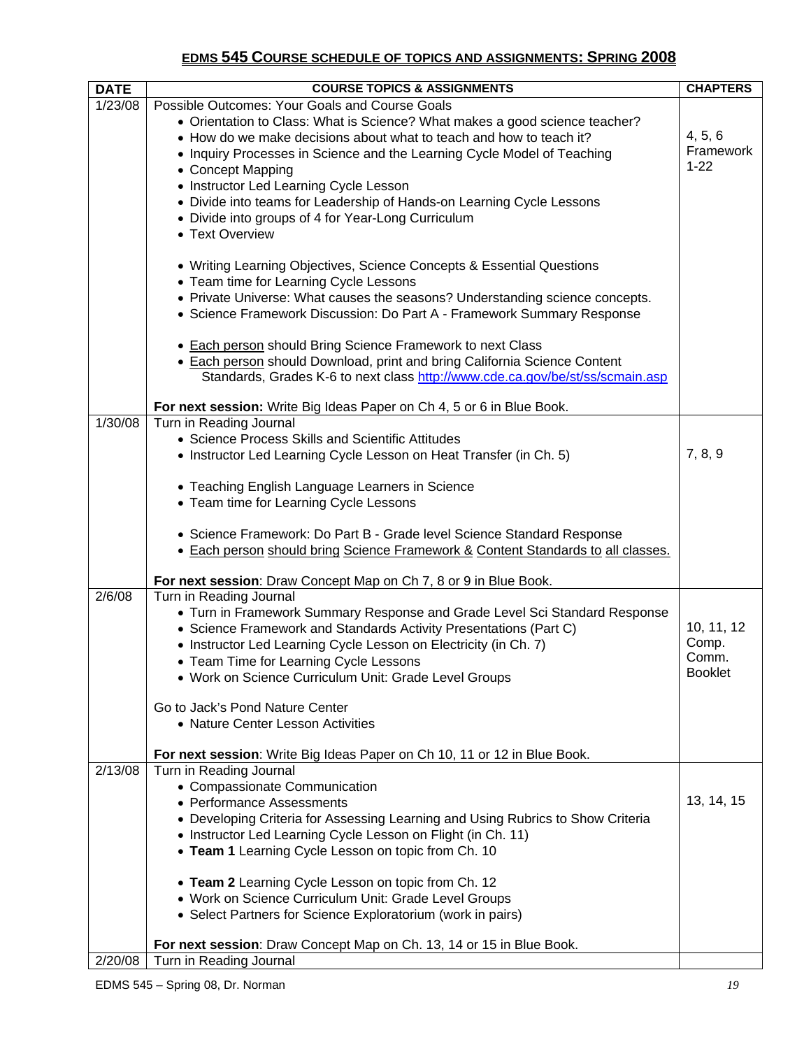# **EDMS 545 COURSE SCHEDULE OF TOPICS AND ASSIGNMENTS: SPRING 2008**

| <b>DATE</b> | <b>COURSE TOPICS &amp; ASSIGNMENTS</b>                                           | <b>CHAPTERS</b>         |
|-------------|----------------------------------------------------------------------------------|-------------------------|
| 1/23/08     | Possible Outcomes: Your Goals and Course Goals                                   |                         |
|             | • Orientation to Class: What is Science? What makes a good science teacher?      |                         |
|             | • How do we make decisions about what to teach and how to teach it?              | 4, 5, 6                 |
|             | • Inquiry Processes in Science and the Learning Cycle Model of Teaching          | Framework<br>$1 - 22$   |
|             | • Concept Mapping                                                                |                         |
|             | • Instructor Led Learning Cycle Lesson                                           |                         |
|             | • Divide into teams for Leadership of Hands-on Learning Cycle Lessons            |                         |
|             | • Divide into groups of 4 for Year-Long Curriculum<br>• Text Overview            |                         |
|             |                                                                                  |                         |
|             | • Writing Learning Objectives, Science Concepts & Essential Questions            |                         |
|             | • Team time for Learning Cycle Lessons                                           |                         |
|             | • Private Universe: What causes the seasons? Understanding science concepts.     |                         |
|             | • Science Framework Discussion: Do Part A - Framework Summary Response           |                         |
|             |                                                                                  |                         |
|             | • Each person should Bring Science Framework to next Class                       |                         |
|             | • Each person should Download, print and bring California Science Content        |                         |
|             | Standards, Grades K-6 to next class http://www.cde.ca.gov/be/st/ss/scmain.asp    |                         |
|             | For next session: Write Big Ideas Paper on Ch 4, 5 or 6 in Blue Book.            |                         |
| 1/30/08     | Turn in Reading Journal                                                          |                         |
|             | • Science Process Skills and Scientific Attitudes                                |                         |
|             | • Instructor Led Learning Cycle Lesson on Heat Transfer (in Ch. 5)               | 7, 8, 9                 |
|             | • Teaching English Language Learners in Science                                  |                         |
|             | • Team time for Learning Cycle Lessons                                           |                         |
|             |                                                                                  |                         |
|             | • Science Framework: Do Part B - Grade level Science Standard Response           |                         |
|             | • Each person should bring Science Framework & Content Standards to all classes. |                         |
|             | For next session: Draw Concept Map on Ch 7, 8 or 9 in Blue Book.                 |                         |
| 2/6/08      | Turn in Reading Journal                                                          |                         |
|             | • Turn in Framework Summary Response and Grade Level Sci Standard Response       |                         |
|             | • Science Framework and Standards Activity Presentations (Part C)                | 10, 11, 12              |
|             | • Instructor Led Learning Cycle Lesson on Electricity (in Ch. 7)                 | Comp.                   |
|             | • Team Time for Learning Cycle Lessons                                           | Comm.<br><b>Booklet</b> |
|             | • Work on Science Curriculum Unit: Grade Level Groups                            |                         |
|             | Go to Jack's Pond Nature Center                                                  |                         |
|             | • Nature Center Lesson Activities                                                |                         |
|             |                                                                                  |                         |
|             | For next session: Write Big Ideas Paper on Ch 10, 11 or 12 in Blue Book.         |                         |
| 2/13/08     | Turn in Reading Journal                                                          |                         |
|             | • Compassionate Communication<br>• Performance Assessments                       | 13, 14, 15              |
|             | • Developing Criteria for Assessing Learning and Using Rubrics to Show Criteria  |                         |
|             | • Instructor Led Learning Cycle Lesson on Flight (in Ch. 11)                     |                         |
|             | • Team 1 Learning Cycle Lesson on topic from Ch. 10                              |                         |
|             |                                                                                  |                         |
|             | • Team 2 Learning Cycle Lesson on topic from Ch. 12                              |                         |
|             | • Work on Science Curriculum Unit: Grade Level Groups                            |                         |
|             | • Select Partners for Science Exploratorium (work in pairs)                      |                         |
|             | For next session: Draw Concept Map on Ch. 13, 14 or 15 in Blue Book.             |                         |
| 2/20/08     | Turn in Reading Journal                                                          |                         |